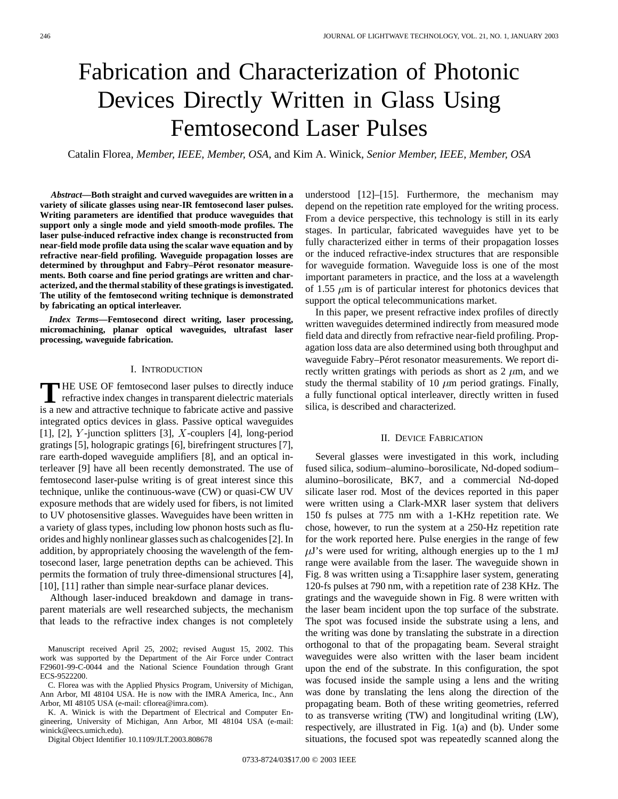# Fabrication and Characterization of Photonic Devices Directly Written in Glass Using Femtosecond Laser Pulses

Catalin Florea*, Member, IEEE, Member, OSA,* and Kim A. Winick*, Senior Member, IEEE, Member, OSA*

*Abstract—***Both straight and curved waveguides are written in a variety of silicate glasses using near-IR femtosecond laser pulses. Writing parameters are identified that produce waveguides that support only a single mode and yield smooth-mode profiles. The laser pulse-induced refractive index change is reconstructed from near-field mode profile data using the scalar wave equation and by refractive near-field profiling. Waveguide propagation losses are determined by throughput and Fabry–Pérot resonator measurements. Both coarse and fine period gratings are written and characterized, and the thermal stability of these gratings is investigated. The utility of the femtosecond writing technique is demonstrated by fabricating an optical interleaver.**

*Index Terms—***Femtosecond direct writing, laser processing, micromachining, planar optical waveguides, ultrafast laser processing, waveguide fabrication.**

### I. INTRODUCTION

**T** HE USE OF femtosecond laser pulses to directly induce refractive index changes in transparent dielectric materials is a new and attractive technique to februate estine and negative is a new and attractive technique to fabricate active and passive integrated optics devices in glass. Passive optical waveguides [1], [2],  $Y$ -junction splitters [3],  $X$ -couplers [4], long-period gratings [5], holograpic gratings [6], birefringent structures [7], rare earth-doped waveguide amplifiers [8], and an optical interleaver [9] have all been recently demonstrated. The use of femtosecond laser-pulse writing is of great interest since this technique, unlike the continuous-wave (CW) or quasi-CW UV exposure methods that are widely used for fibers, is not limited to UV photosensitive glasses. Waveguides have been written in a variety of glass types, including low phonon hosts such as fluorides and highly nonlinear glasses such as chalcogenides [2]. In addition, by appropriately choosing the wavelength of the femtosecond laser, large penetration depths can be achieved. This permits the formation of truly three-dimensional structures [4], [10], [11] rather than simple near-surface planar devices.

Although laser-induced breakdown and damage in transparent materials are well researched subjects, the mechanism that leads to the refractive index changes is not completely

K. A. Winick is with the Department of Electrical and Computer Engineering, University of Michigan, Ann Arbor, MI 48104 USA (e-mail: winick@eecs.umich.edu).

Digital Object Identifier 10.1109/JLT.2003.808678

understood [12]–[15]. Furthermore, the mechanism may depend on the repetition rate employed for the writing process. From a device perspective, this technology is still in its early stages. In particular, fabricated waveguides have yet to be fully characterized either in terms of their propagation losses or the induced refractive-index structures that are responsible for waveguide formation. Waveguide loss is one of the most important parameters in practice, and the loss at a wavelength of 1.55  $\mu$ m is of particular interest for photonics devices that support the optical telecommunications market.

In this paper, we present refractive index profiles of directly written waveguides determined indirectly from measured mode field data and directly from refractive near-field profiling. Propagation loss data are also determined using both throughput and waveguide Fabry–Pérot resonator measurements. We report directly written gratings with periods as short as  $2 \mu m$ , and we study the thermal stability of 10  $\mu$ m period gratings. Finally, a fully functional optical interleaver, directly written in fused silica, is described and characterized.

# II. DEVICE FABRICATION

Several glasses were investigated in this work, including fused silica, sodium–alumino–borosilicate, Nd-doped sodium– alumino–borosilicate, BK7, and a commercial Nd-doped silicate laser rod. Most of the devices reported in this paper were written using a Clark-MXR laser system that delivers 150 fs pulses at 775 nm with a 1-KHz repetition rate. We chose, however, to run the system at a 250-Hz repetition rate for the work reported here. Pulse energies in the range of few  $\mu$ J's were used for writing, although energies up to the 1 mJ range were available from the laser. The waveguide shown in Fig. 8 was written using a Ti:sapphire laser system, generating 120-fs pulses at 790 nm, with a repetition rate of 238 KHz. The gratings and the waveguide shown in Fig. 8 were written with the laser beam incident upon the top surface of the substrate. The spot was focused inside the substrate using a lens, and the writing was done by translating the substrate in a direction orthogonal to that of the propagating beam. Several straight waveguides were also written with the laser beam incident upon the end of the substrate. In this configuration, the spot was focused inside the sample using a lens and the writing was done by translating the lens along the direction of the propagating beam. Both of these writing geometries, referred to as transverse writing (TW) and longitudinal writing (LW), respectively, are illustrated in Fig. 1(a) and (b). Under some situations, the focused spot was repeatedly scanned along the

Manuscript received April 25, 2002; revised August 15, 2002. This work was supported by the Department of the Air Force under Contract F29601-99-C-0044 and the National Science Foundation through Grant ECS-9522200.

C. Florea was with the Applied Physics Program, University of Michigan, Ann Arbor, MI 48104 USA. He is now with the IMRA America, Inc., Ann Arbor, MI 48105 USA (e-mail: cflorea@imra.com).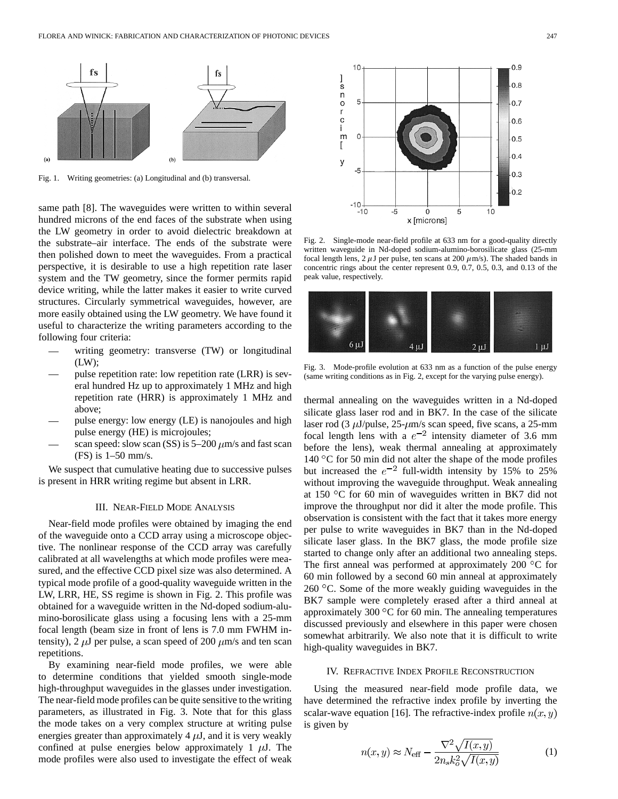

Fig. 1. Writing geometries: (a) Longitudinal and (b) transversal.

same path [8]. The waveguides were written to within several hundred microns of the end faces of the substrate when using the LW geometry in order to avoid dielectric breakdown at the substrate–air interface. The ends of the substrate were then polished down to meet the waveguides. From a practical perspective, it is desirable to use a high repetition rate laser system and the TW geometry, since the former permits rapid device writing, while the latter makes it easier to write curved structures. Circularly symmetrical waveguides, however, are more easily obtained using the LW geometry. We have found it useful to characterize the writing parameters according to the following four criteria:

- writing geometry: transverse (TW) or longitudinal  $(LW)$ ;
- pulse repetition rate: low repetition rate (LRR) is several hundred Hz up to approximately 1 MHz and high repetition rate (HRR) is approximately 1 MHz and above;
- pulse energy: low energy (LE) is nanojoules and high pulse energy (HE) is microjoules;
- scan speed: slow scan (SS) is  $5-200 \ \mu m/s$  and fast scan (FS) is 1–50 mm/s.

We suspect that cumulative heating due to successive pulses is present in HRR writing regime but absent in LRR.

### III. NEAR-FIELD MODE ANALYSIS

Near-field mode profiles were obtained by imaging the end of the waveguide onto a CCD array using a microscope objective. The nonlinear response of the CCD array was carefully calibrated at all wavelengths at which mode profiles were measured, and the effective CCD pixel size was also determined. A typical mode profile of a good-quality waveguide written in the LW, LRR, HE, SS regime is shown in Fig. 2. This profile was obtained for a waveguide written in the Nd-doped sodium-alumino-borosilicate glass using a focusing lens with a 25-mm focal length (beam size in front of lens is 7.0 mm FWHM intensity), 2  $\mu$ J per pulse, a scan speed of 200  $\mu$ m/s and ten scan repetitions.

By examining near-field mode profiles, we were able to determine conditions that yielded smooth single-mode high-throughput waveguides in the glasses under investigation. The near-field mode profiles can be quite sensitive to the writing parameters, as illustrated in Fig. 3. Note that for this glass the mode takes on a very complex structure at writing pulse energies greater than approximately  $4 \mu J$ , and it is very weakly confined at pulse energies below approximately 1  $\mu$ J. The mode profiles were also used to investigate the effect of weak



Fig. 2. Single-mode near-field profile at 633 nm for a good-quality directly written waveguide in Nd-doped sodium-alumino-borosilicate glass (25-mm focal length lens, 2  $\mu$ J per pulse, ten scans at 200  $\mu$ m/s). The shaded bands in concentric rings about the center represent 0.9, 0.7, 0.5, 0.3, and 0.13 of the peak value, respectively.



Fig. 3. Mode-profile evolution at 633 nm as a function of the pulse energy (same writing conditions as in Fig. 2, except for the varying pulse energy).

thermal annealing on the waveguides written in a Nd-doped silicate glass laser rod and in BK7. In the case of the silicate laser rod (3  $\mu$ J/pulse, 25- $\mu$ m/s scan speed, five scans, a 25-mm focal length lens with a  $e^{-2}$  intensity diameter of 3.6 mm before the lens), weak thermal annealing at approximately 140  $\degree$ C for 50 min did not alter the shape of the mode profiles but increased the  $e^{-2}$  full-width intensity by 15% to 25% without improving the waveguide throughput. Weak annealing at 150  $\degree$ C for 60 min of waveguides written in BK7 did not improve the throughput nor did it alter the mode profile. This observation is consistent with the fact that it takes more energy per pulse to write waveguides in BK7 than in the Nd-doped silicate laser glass. In the BK7 glass, the mode profile size started to change only after an additional two annealing steps. The first anneal was performed at approximately 200  $\rm{^{\circ}C}$  for 60 min followed by a second 60 min anneal at approximately 260 C. Some of the more weakly guiding waveguides in the BK7 sample were completely erased after a third anneal at approximately 300  $\degree$ C for 60 min. The annealing temperatures discussed previously and elsewhere in this paper were chosen somewhat arbitrarily. We also note that it is difficult to write high-quality waveguides in BK7.

### IV. REFRACTIVE INDEX PROFILE RECONSTRUCTION

Using the measured near-field mode profile data, we have determined the refractive index profile by inverting the scalar-wave equation [16]. The refractive-index profile  $n(x, y)$ is given by

$$
n(x,y) \approx N_{\text{eff}} - \frac{\nabla^2 \sqrt{I(x,y)}}{2n_s k_o^2 \sqrt{I(x,y)}}
$$
 (1)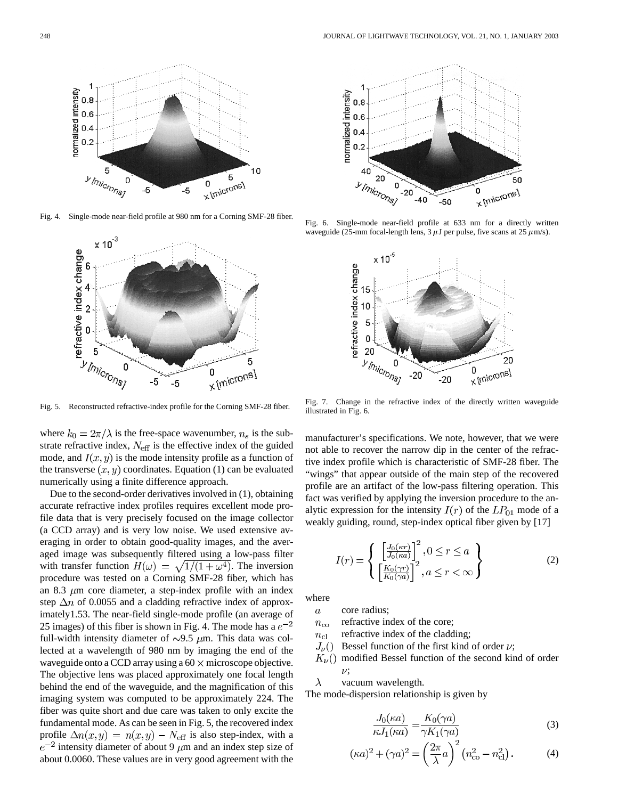

Fig. 4. Single-mode near-field profile at 980 nm for a Corning SMF-28 fiber.



where  $k_0 = 2\pi/\lambda$  is the free-space wavenumber,  $n_s$  is the substrate refractive index,  $N_{\text{eff}}$  is the effective index of the guided mode, and  $I(x, y)$  is the mode intensity profile as a function of the transverse  $(x, y)$  coordinates. Equation (1) can be evaluated numerically using a finite difference approach.

Due to the second-order derivatives involved in (1), obtaining accurate refractive index profiles requires excellent mode profile data that is very precisely focused on the image collector (a CCD array) and is very low noise. We used extensive averaging in order to obtain good-quality images, and the averaged image was subsequently filtered using a low-pass filter with transfer function  $H(\omega) = \sqrt{1/(1 + \omega^4)}$ . The inversion procedure was tested on a Corning SMF-28 fiber, which has an 8.3  $\mu$ m core diameter, a step-index profile with an index step  $\Delta n$  of 0.0055 and a cladding refractive index of approximately1.53. The near-field single-mode profile (an average of 25 images) of this fiber is shown in Fig. 4. The mode has a  $e^{-2}$ full-width intensity diameter of  $\sim$ 9.5  $\mu$ m. This data was collected at a wavelength of 980 nm by imaging the end of the waveguide onto a CCD array using a  $60 \times$  microscope objective. The objective lens was placed approximately one focal length behind the end of the waveguide, and the magnification of this imaging system was computed to be approximately 224. The fiber was quite short and due care was taken to only excite the fundamental mode. As can be seen in Fig. 5, the recovered index profile  $\Delta n(x, y) = n(x, y) - N_{\text{eff}}$  is also step-index, with a  $e^{-2}$  intensity diameter of about 9  $\mu$ m and an index step size of about 0.0060. These values are in very good agreement with the



Fig. 6. Single-mode near-field profile at 633 nm for a directly written waveguide (25-mm focal-length lens, 3  $\mu$ J per pulse, five scans at 25  $\mu$ m/s).



Fig. 7. Change in the refractive index of the directly written waveguide illustrated in Fig. 6.

manufacturer's specifications. We note, however, that we were not able to recover the narrow dip in the center of the refractive index profile which is characteristic of SMF-28 fiber. The "wings" that appear outside of the main step of the recovered profile are an artifact of the low-pass filtering operation. This fact was verified by applying the inversion procedure to the analytic expression for the intensity  $I(r)$  of the  $LP_{01}$  mode of a weakly guiding, round, step-index optical fiber given by [17]

$$
I(r) = \begin{cases} \left[\frac{J_0(\kappa r)}{J_0(\kappa a)}\right]^2, 0 \le r \le a\\ \left[\frac{K_0(\gamma r)}{K_0(\gamma a)}\right]^2, a \le r < \infty \end{cases}
$$
 (2)

where

core radius;  $\overline{a}$ 

refractive index of the core;  $n_{\rm co}$ 

- refractive index of the cladding;  $n_{\rm cl}$
- $J_{\nu}()$ Bessel function of the first kind of order  $\nu$ ;
- $K_{\nu}()$ modified Bessel function of the second kind of order  $\nu$ :  $\lambda$

vacuum wavelength.

The mode-dispersion relationship is given by

$$
\frac{J_0(\kappa a)}{\kappa J_1(\kappa a)} = \frac{K_0(\gamma a)}{\gamma K_1(\gamma a)}\tag{3}
$$

$$
(\kappa a)^{2} + (\gamma a)^{2} = \left(\frac{2\pi}{\lambda}a\right)^{2} \left(n_{\text{co}}^{2} - n_{\text{cl}}^{2}\right). \tag{4}
$$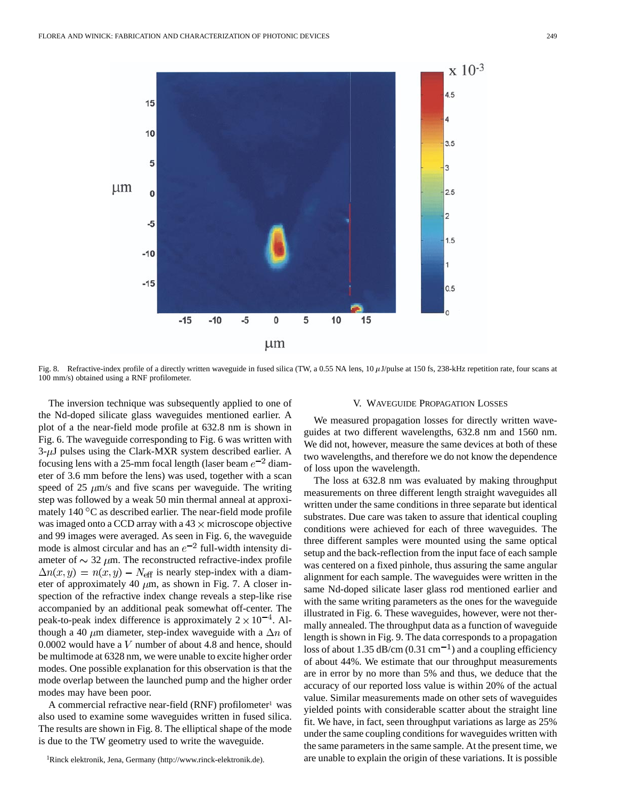

Fig. 8. Refractive-index profile of a directly written waveguide in fused silica (TW, a 0.55 NA lens, 10  $\mu$ J/pulse at 150 fs, 238-kHz repetition rate, four scans at 100 mm/s) obtained using a RNF profilometer.

The inversion technique was subsequently applied to one of the Nd-doped silicate glass waveguides mentioned earlier. A plot of a the near-field mode profile at 632.8 nm is shown in Fig. 6. The waveguide corresponding to Fig. 6 was written with  $3-\mu J$  pulses using the Clark-MXR system described earlier. A focusing lens with a 25-mm focal length (laser beam  $e^{-2}$  diameter of 3.6 mm before the lens) was used, together with a scan speed of 25  $\mu$ m/s and five scans per waveguide. The writing step was followed by a weak 50 min thermal anneal at approximately  $140\,^{\circ}\text{C}$  as described earlier. The near-field mode profile was imaged onto a CCD array with a  $43 \times$  microscope objective and 99 images were averaged. As seen in Fig. 6, the waveguide mode is almost circular and has an  $e^{-2}$  full-width intensity diameter of  $\sim$  32  $\mu$ m. The reconstructed refractive-index profile  $\Delta n(x, y) = n(x, y) - N_{\text{eff}}$  is nearly step-index with a diameter of approximately 40  $\mu$ m, as shown in Fig. 7. A closer inspection of the refractive index change reveals a step-like rise accompanied by an additional peak somewhat off-center. The peak-to-peak index difference is approximately  $2 \times 10^{-4}$ . Although a 40  $\mu$ m diameter, step-index waveguide with a  $\Delta n$  of 0.0002 would have a  $V$  number of about 4.8 and hence, should be multimode at 6328 nm, we were unable to excite higher order modes. One possible explanation for this observation is that the mode overlap between the launched pump and the higher order modes may have been poor.

A commercial refractive near-field (RNF) profilometer<sup>1</sup> was also used to examine some waveguides written in fused silica. The results are shown in Fig. 8. The elliptical shape of the mode is due to the TW geometry used to write the waveguide.

## V. WAVEGUIDE PROPAGATION LOSSES

We measured propagation losses for directly written waveguides at two different wavelengths, 632.8 nm and 1560 nm. We did not, however, measure the same devices at both of these two wavelengths, and therefore we do not know the dependence of loss upon the wavelength.

The loss at 632.8 nm was evaluated by making throughput measurements on three different length straight waveguides all written under the same conditions in three separate but identical substrates. Due care was taken to assure that identical coupling conditions were achieved for each of three waveguides. The three different samples were mounted using the same optical setup and the back-reflection from the input face of each sample was centered on a fixed pinhole, thus assuring the same angular alignment for each sample. The waveguides were written in the same Nd-doped silicate laser glass rod mentioned earlier and with the same writing parameters as the ones for the waveguide illustrated in Fig. 6. These waveguides, however, were not thermally annealed. The throughput data as a function of waveguide length is shown in Fig. 9. The data corresponds to a propagation loss of about 1.35 dB/cm  $(0.31 \text{ cm}^{-1})$  and a coupling efficiency of about 44%. We estimate that our throughput measurements are in error by no more than 5% and thus, we deduce that the accuracy of our reported loss value is within 20% of the actual value. Similar measurements made on other sets of waveguides yielded points with considerable scatter about the straight line fit. We have, in fact, seen throughput variations as large as 25% under the same coupling conditions for waveguides written with the same parameters in the same sample. At the present time, we are unable to explain the origin of these variations. It is possible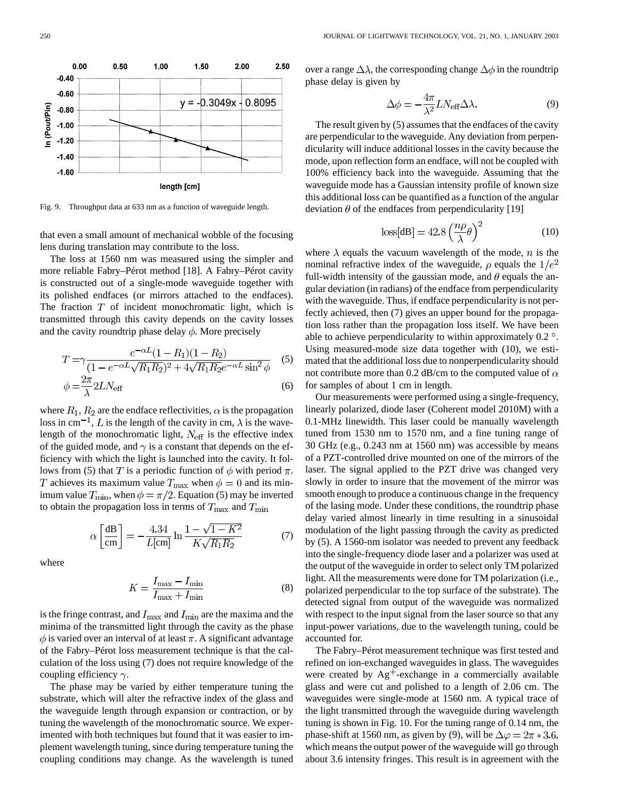

Fig. 9. Throughput data at 633 nm as a function of waveguide length.

that even a small amount of mechanical wobble of the focusing lens during translation may contribute to the loss.

The loss at 1560 nm was measured using the simpler and more reliable Fabry–Pérot method [18]. A Fabry–Pérot cavity is constructed out of a single-mode waveguide together with its polished endfaces (or mirrors attached to the endfaces). The fraction  $T$  of incident monochromatic light, which is transmitted through this cavity depends on the cavity losses and the cavity roundtrip phase delay  $\phi$ . More precisely

$$
T = \gamma \frac{e^{-\alpha L} (1 - R_1)(1 - R_2)}{(1 - e^{-\alpha L} \sqrt{R_1 R_2})^2 + 4\sqrt{R_1 R_2} e^{-\alpha L} \sin^2 \phi}
$$
(5)  

$$
\phi = \frac{2\pi}{\lambda} 2LN_{\text{eff}}
$$
(6)

where  $R_1, R_2$  are the endface reflectivities,  $\alpha$  is the propagation loss in cm<sup>-1</sup>, L is the length of the cavity in cm,  $\lambda$  is the wavelength of the monochromatic light,  $N_{\text{eff}}$  is the effective index of the guided mode, and  $\gamma$  is a constant that depends on the efficiency with which the light is launched into the cavity. It follows from (5) that T is a periodic function of  $\phi$  with period  $\pi$ . T achieves its maximum value  $T_{\text{max}}$  when  $\phi = 0$  and its minimum value  $T_{\text{min}}$ , when  $\phi = \pi/2$ . Equation (5) may be inverted to obtain the propagation loss in terms of  $T_{\text{max}}$  and  $T_{\text{min}}$ 

$$
\alpha \left[ \frac{\text{dB}}{\text{cm}} \right] = -\frac{4.34}{L[\text{cm}]} \ln \frac{1 - \sqrt{1 - K^2}}{K \sqrt{R_1 R_2}} \tag{7}
$$

where

$$
K = \frac{I_{\text{max}} - I_{\text{min}}}{I_{\text{max}} + I_{\text{min}}} \tag{8}
$$

is the fringe contrast, and  $I_{\text{max}}$  and  $I_{\text{min}}$  are the maxima and the minima of the transmitted light through the cavity as the phase  $\phi$  is varied over an interval of at least  $\pi$ . A significant advantage of the Fabry–Pérot loss measurement technique is that the calculation of the loss using (7) does not require knowledge of the coupling efficiency  $\gamma$ .

The phase may be varied by either temperature tuning the substrate, which will alter the refractive index of the glass and the waveguide length through expansion or contraction, or by tuning the wavelength of the monochromatic source. We experimented with both techniques but found that it was easier to implement wavelength tuning, since during temperature tuning the coupling conditions may change. As the wavelength is tuned over a range  $\Delta\lambda$ , the corresponding change  $\Delta\phi$  in the roundtrip phase delay is given by

$$
\Delta \phi = -\frac{4\pi}{\lambda^2} L N_{\text{eff}} \Delta \lambda. \tag{9}
$$

The result given by (5) assumes that the endfaces of the cavity are perpendicular to the waveguide. Any deviation from perpendicularity will induce additional losses in the cavity because the mode, upon reflection form an endface, will not be coupled with 100% efficiency back into the waveguide. Assuming that the waveguide mode has a Gaussian intensity profile of known size this additional loss can be quantified as a function of the angular deviation  $\theta$  of the endfaces from perpendicularity [19]

$$
loss[dB] = 42.8 \left(\frac{n\rho}{\lambda}\theta\right)^2\tag{10}
$$

where  $\lambda$  equals the vacuum wavelength of the mode, n is the nominal refractive index of the waveguide,  $\rho$  equals the  $1/e^2$ full-width intensity of the gaussian mode, and  $\theta$  equals the angular deviation (in radians) of the endface from perpendicularity with the waveguide. Thus, if endface perpendicularity is not perfectly achieved, then (7) gives an upper bound for the propagation loss rather than the propagation loss itself. We have been able to achieve perpendicularity to within approximately  $0.2^{\circ}$ . Using measured-mode size data together with (10), we estimated that the additional loss due to nonperpendicularity should not contribute more than 0.2 dB/cm to the computed value of  $\alpha$ for samples of about 1 cm in length.

Our measurements were performed using a single-frequency, linearly polarized, diode laser (Coherent model 2010M) with a 0.1-MHz linewidth. This laser could be manually wavelength tuned from 1530 nm to 1570 nm, and a fine tuning range of 30 GHz (e.g., 0.243 nm at 1560 nm) was accessible by means of a PZT-controlled drive mounted on one of the mirrors of the laser. The signal applied to the PZT drive was changed very slowly in order to insure that the movement of the mirror was smooth enough to produce a continuous change in the frequency of the lasing mode. Under these conditions, the roundtrip phase delay varied almost linearly in time resulting in a sinusoidal modulation of the light passing through the cavity as predicted by (5). A 1560-nm isolator was needed to prevent any feedback into the single-frequency diode laser and a polarizer was used at the output of the waveguide in order to select only TM polarized light. All the measurements were done for TM polarization (i.e., polarized perpendicular to the top surface of the substrate). The detected signal from output of the waveguide was normalized with respect to the input signal from the laser source so that any input-power variations, due to the wavelength tuning, could be accounted for.

The Fabry–Pérot measurement technique was first tested and refined on ion-exchanged waveguides in glass. The waveguides were created by  $Ag<sup>+</sup>$ -exchange in a commercially available glass and were cut and polished to a length of 2.06 cm. The waveguides were single-mode at 1560 nm. A typical trace of the light transmitted through the waveguide during wavelength tuning is shown in Fig. 10. For the tuning range of 0.14 nm, the phase-shift at 1560 nm, as given by (9), will be  $\Delta \varphi = 2\pi * 3.6$ , which means the output power of the waveguide will go through about 3.6 intensity fringes. This result is in agreement with the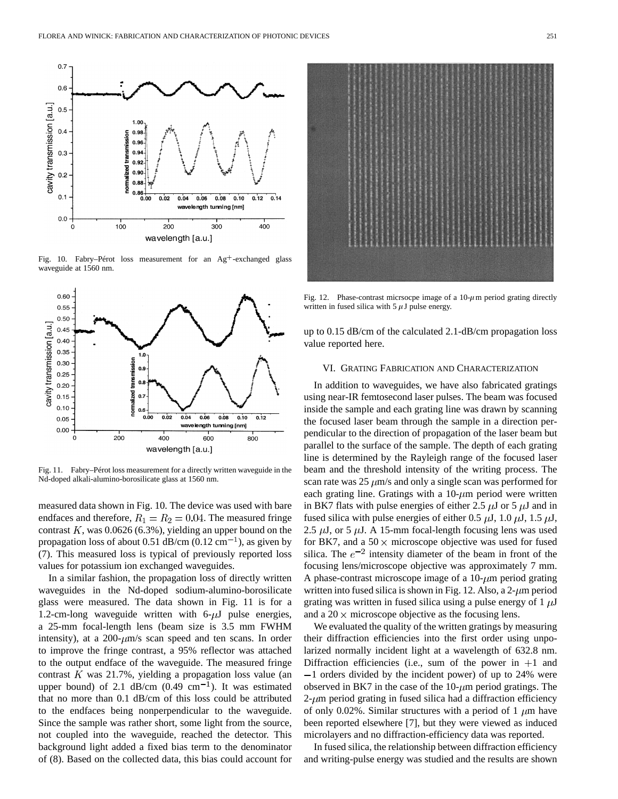

Fig. 10. Fabry–Pérot loss measurement for an  $\text{Ag}^+$ -exchanged glass waveguide at 1560 nm.



Fig. 11. Fabry–Pérot loss measurement for a directly written waveguide in the Nd-doped alkali-alumino-borosilicate glass at 1560 nm.

measured data shown in Fig. 10. The device was used with bare endfaces and therefore,  $R_1 = R_2 = 0.04$ . The measured fringe contrast  $K$ , was 0.0626 (6.3%), yielding an upper bound on the propagation loss of about 0.51 dB/cm  $(0.12 \text{ cm}^{-1})$ , as given by (7). This measured loss is typical of previously reported loss values for potassium ion exchanged waveguides.

In a similar fashion, the propagation loss of directly written waveguides in the Nd-doped sodium-alumino-borosilicate glass were measured. The data shown in Fig. 11 is for a 1.2-cm-long waveguide written with  $6-\mu J$  pulse energies, a 25-mm focal-length lens (beam size is 3.5 mm FWHM intensity), at a  $200-\mu m/s$  scan speed and ten scans. In order to improve the fringe contrast, a 95% reflector was attached to the output endface of the waveguide. The measured fringe contrast  $K$  was 21.7%, yielding a propagation loss value (an upper bound) of 2.1 dB/cm  $(0.49 \text{ cm}^{-1})$ . It was estimated that no more than 0.1 dB/cm of this loss could be attributed to the endfaces being nonperpendicular to the waveguide. Since the sample was rather short, some light from the source, not coupled into the waveguide, reached the detector. This background light added a fixed bias term to the denominator of (8). Based on the collected data, this bias could account for



Fig. 12. Phase-contrast micrsocpe image of a  $10-\mu$ m period grating directly written in fused silica with  $5 \mu$ J pulse energy.

up to 0.15 dB/cm of the calculated 2.1-dB/cm propagation loss value reported here.

#### VI. GRATING FABRICATION AND CHARACTERIZATION

In addition to waveguides, we have also fabricated gratings using near-IR femtosecond laser pulses. The beam was focused inside the sample and each grating line was drawn by scanning the focused laser beam through the sample in a direction perpendicular to the direction of propagation of the laser beam but parallel to the surface of the sample. The depth of each grating line is determined by the Rayleigh range of the focused laser beam and the threshold intensity of the writing process. The scan rate was  $25 \mu m/s$  and only a single scan was performed for each grating line. Gratings with a  $10-\mu m$  period were written in BK7 flats with pulse energies of either 2.5  $\mu$ J or 5  $\mu$ J and in fused silica with pulse energies of either 0.5  $\mu$ J, 1.0  $\mu$ J, 1.5  $\mu$ J, 2.5  $\mu$ J, or 5  $\mu$ J. A 15-mm focal-length focusing lens was used for BK7, and a  $50 \times$  microscope objective was used for fused silica. The  $e^{-2}$  intensity diameter of the beam in front of the focusing lens/microscope objective was approximately 7 mm. A phase-contrast microscope image of a  $10$ - $\mu$ m period grating written into fused silica is shown in Fig. 12. Also, a  $2-\mu m$  period grating was written in fused silica using a pulse energy of  $1 \mu J$ and a  $20 \times$  microscope objective as the focusing lens.

We evaluated the quality of the written gratings by measuring their diffraction efficiencies into the first order using unpolarized normally incident light at a wavelength of 632.8 nm. Diffraction efficiencies (i.e., sum of the power in  $+1$  and 1 orders divided by the incident power) of up to 24% were observed in BK7 in the case of the  $10-\mu m$  period gratings. The  $2\text{-}\mu\text{m}$  period grating in fused silica had a diffraction efficiency of only 0.02%. Similar structures with a period of 1  $\mu$ m have been reported elsewhere [7], but they were viewed as induced microlayers and no diffraction-efficiency data was reported.

In fused silica, the relationship between diffraction efficiency and writing-pulse energy was studied and the results are shown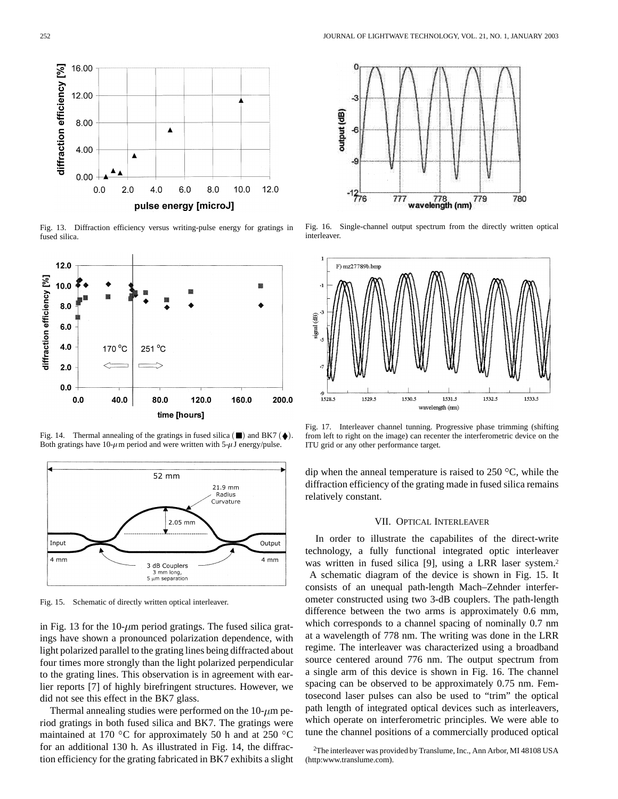

Fig. 13. Diffraction efficiency versus writing-pulse energy for gratings in fused silica.



Fig. 14. Thermal annealing of the gratings in fused silica  $(\blacksquare)$  and BK7  $(\blacklozenge)$ . Both gratings have 10- $\mu$ m period and were written with 5- $\mu$ J energy/pulse.



Fig. 15. Schematic of directly written optical interleaver.

in Fig. 13 for the 10- $\mu$ m period gratings. The fused silica gratings have shown a pronounced polarization dependence, with light polarized parallel to the grating lines being diffracted about four times more strongly than the light polarized perpendicular to the grating lines. This observation is in agreement with earlier reports [7] of highly birefringent structures. However, we did not see this effect in the BK7 glass.

Thermal annealing studies were performed on the  $10$ - $\mu$ m period gratings in both fused silica and BK7. The gratings were maintained at 170 °C for approximately 50 h and at 250 °C for an additional 130 h. As illustrated in Fig. 14, the diffraction efficiency for the grating fabricated in BK7 exhibits a slight



Fig. 16. Single-channel output spectrum from the directly written optical interleaver.



Fig. 17. Interleaver channel tunning. Progressive phase trimming (shifting from left to right on the image) can recenter the interferometric device on the ITU grid or any other performance target.

dip when the anneal temperature is raised to  $250^{\circ}$ C, while the diffraction efficiency of the grating made in fused silica remains relatively constant.

# VII. OPTICAL INTERLEAVER

In order to illustrate the capabilites of the direct-write technology, a fully functional integrated optic interleaver was written in fused silica [9], using a LRR laser system.<sup>2</sup> A schematic diagram of the device is shown in Fig. 15. It consists of an unequal path-length Mach–Zehnder interferometer constructed using two 3-dB couplers. The path-length difference between the two arms is approximately 0.6 mm, which corresponds to a channel spacing of nominally 0.7 nm at a wavelength of 778 nm. The writing was done in the LRR regime. The interleaver was characterized using a broadband source centered around 776 nm. The output spectrum from a single arm of this device is shown in Fig. 16. The channel spacing can be observed to be approximately 0.75 nm. Femtosecond laser pulses can also be used to "trim" the optical path length of integrated optical devices such as interleavers, which operate on interferometric principles. We were able to tune the channel positions of a commercially produced optical

<sup>2</sup>The interleaver was provided by Translume, Inc., Ann Arbor, MI 48108 USA (http:www.translume.com).